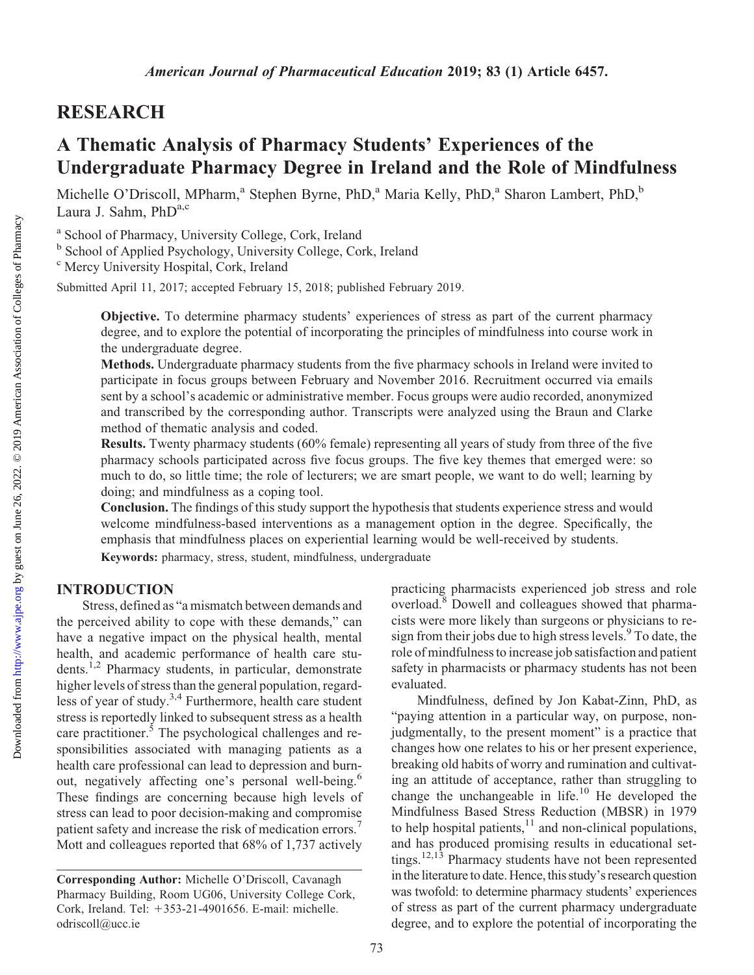## RESEARCH

## A Thematic Analysis of Pharmacy Students' Experiences of the Undergraduate Pharmacy Degree in Ireland and the Role of Mindfulness

Michelle O'Driscoll, MPharm,<sup>a</sup> Stephen Byrne, PhD,<sup>a</sup> Maria Kelly, PhD,<sup>a</sup> Sharon Lambert, PhD,<sup>b</sup> Laura J. Sahm, PhDa,c

<sup>a</sup> School of Pharmacy, University College, Cork, Ireland

<sup>b</sup> School of Applied Psychology, University College, Cork, Ireland

<sup>c</sup> Mercy University Hospital, Cork, Ireland

Submitted April 11, 2017; accepted February 15, 2018; published February 2019.

Objective. To determine pharmacy students' experiences of stress as part of the current pharmacy degree, and to explore the potential of incorporating the principles of mindfulness into course work in the undergraduate degree.

Methods. Undergraduate pharmacy students from the five pharmacy schools in Ireland were invited to participate in focus groups between February and November 2016. Recruitment occurred via emails sent by a school's academic or administrative member. Focus groups were audio recorded, anonymized and transcribed by the corresponding author. Transcripts were analyzed using the Braun and Clarke method of thematic analysis and coded.

Results. Twenty pharmacy students (60% female) representing all years of study from three of the five pharmacy schools participated across five focus groups. The five key themes that emerged were: so much to do, so little time; the role of lecturers; we are smart people, we want to do well; learning by doing; and mindfulness as a coping tool.

Conclusion. The findings of this study support the hypothesis that students experience stress and would welcome mindfulness-based interventions as a management option in the degree. Specifically, the emphasis that mindfulness places on experiential learning would be well-received by students.

Keywords: pharmacy, stress, student, mindfulness, undergraduate

## INTRODUCTION

Stress, defined as "a mismatch between demands and the perceived ability to cope with these demands," can have a negative impact on the physical health, mental health, and academic performance of health care students.1,2 Pharmacy students, in particular, demonstrate higher levels of stress than the general population, regardless of year of study.3,4 Furthermore, health care student stress is reportedly linked to subsequent stress as a health care practitioner.<sup>5</sup> The psychological challenges and responsibilities associated with managing patients as a health care professional can lead to depression and burnout, negatively affecting one's personal well-being.<sup>6</sup> These findings are concerning because high levels of stress can lead to poor decision-making and compromise patient safety and increase the risk of medication errors.<sup>7</sup> Mott and colleagues reported that 68% of 1,737 actively practicing pharmacists experienced job stress and role overload.8 Dowell and colleagues showed that pharmacists were more likely than surgeons or physicians to resign from their jobs due to high stress levels.<sup>9</sup> To date, the role of mindfulness to increase job satisfaction and patient safety in pharmacists or pharmacy students has not been evaluated.

Mindfulness, defined by Jon Kabat-Zinn, PhD, as "paying attention in a particular way, on purpose, nonjudgmentally, to the present moment" is a practice that changes how one relates to his or her present experience, breaking old habits of worry and rumination and cultivating an attitude of acceptance, rather than struggling to change the unchangeable in life.<sup>10</sup> He developed the Mindfulness Based Stress Reduction (MBSR) in 1979 to help hospital patients, $^{11}$  and non-clinical populations, and has produced promising results in educational settings.12,13 Pharmacy students have not been represented in the literature to date. Hence, this study's research question was twofold: to determine pharmacy students' experiences of stress as part of the current pharmacy undergraduate degree, and to explore the potential of incorporating the

Corresponding Author: Michelle O'Driscoll, Cavanagh Pharmacy Building, Room UG06, University College Cork, Cork, Ireland. Tel: +353-21-4901656. E-mail: [michelle.](mailto:michelle.odriscoll@ucc.ie) [odriscoll@ucc.ie](mailto:michelle.odriscoll@ucc.ie)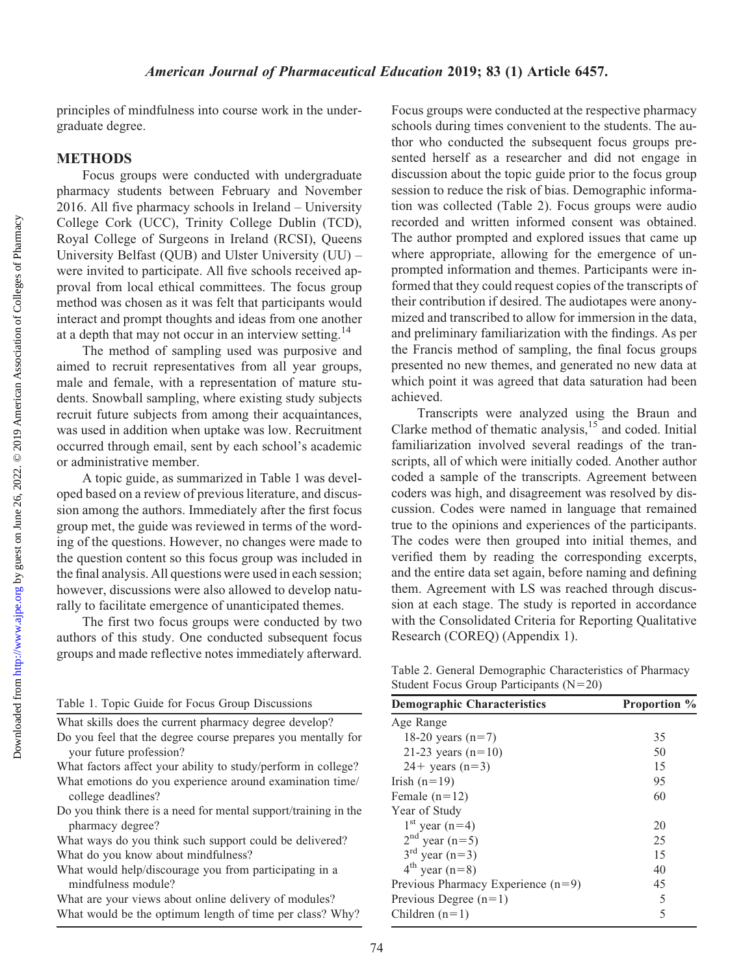principles of mindfulness into course work in the undergraduate degree.

### **METHODS**

Focus groups were conducted with undergraduate pharmacy students between February and November 2016. All five pharmacy schools in Ireland – University College Cork (UCC), Trinity College Dublin (TCD), Royal College of Surgeons in Ireland (RCSI), Queens University Belfast (QUB) and Ulster University (UU) – were invited to participate. All five schools received approval from local ethical committees. The focus group method was chosen as it was felt that participants would interact and prompt thoughts and ideas from one another at a depth that may not occur in an interview setting.<sup>14</sup>

The method of sampling used was purposive and aimed to recruit representatives from all year groups, male and female, with a representation of mature students. Snowball sampling, where existing study subjects recruit future subjects from among their acquaintances, was used in addition when uptake was low. Recruitment occurred through email, sent by each school's academic or administrative member.

A topic guide, as summarized in Table 1 was developed based on a review of previous literature, and discussion among the authors. Immediately after the first focus group met, the guide was reviewed in terms of the wording of the questions. However, no changes were made to the question content so this focus group was included in the final analysis. All questions were used in each session; however, discussions were also allowed to develop naturally to facilitate emergence of unanticipated themes.

The first two focus groups were conducted by two authors of this study. One conducted subsequent focus groups and made reflective notes immediately afterward.

|  |  |  |  |  | Table 1. Topic Guide for Focus Group Discussions |
|--|--|--|--|--|--------------------------------------------------|
|--|--|--|--|--|--------------------------------------------------|

| What skills does the current pharmacy degree develop? |  |  |  |  |  |
|-------------------------------------------------------|--|--|--|--|--|
|-------------------------------------------------------|--|--|--|--|--|

Do you feel that the degree course prepares you mentally for your future profession?

What factors affect your ability to study/perform in college? What emotions do you experience around examination time/

college deadlines?

Do you think there is a need for mental support/training in the pharmacy degree?

What ways do you think such support could be delivered? What do you know about mindfulness?

- What would help/discourage you from participating in a mindfulness module?
- What are your views about online delivery of modules? What would be the optimum length of time per class? Why?

Focus groups were conducted at the respective pharmacy schools during times convenient to the students. The author who conducted the subsequent focus groups presented herself as a researcher and did not engage in discussion about the topic guide prior to the focus group session to reduce the risk of bias. Demographic information was collected (Table 2). Focus groups were audio recorded and written informed consent was obtained. The author prompted and explored issues that came up where appropriate, allowing for the emergence of unprompted information and themes. Participants were informed that they could request copies of the transcripts of their contribution if desired. The audiotapes were anonymized and transcribed to allow for immersion in the data, and preliminary familiarization with the findings. As per the Francis method of sampling, the final focus groups presented no new themes, and generated no new data at which point it was agreed that data saturation had been achieved.

Transcripts were analyzed using the Braun and Clarke method of thematic analysis, $15$  and coded. Initial familiarization involved several readings of the transcripts, all of which were initially coded. Another author coded a sample of the transcripts. Agreement between coders was high, and disagreement was resolved by discussion. Codes were named in language that remained true to the opinions and experiences of the participants. The codes were then grouped into initial themes, and verified them by reading the corresponding excerpts, and the entire data set again, before naming and defining them. Agreement with LS was reached through discussion at each stage. The study is reported in accordance with the Consolidated Criteria for Reporting Qualitative Research (COREQ) (Appendix 1).

Table 2. General Demographic Characteristics of Pharmacy Student Focus Group Participants  $(N=20)$ 

| <b>Demographic Characteristics</b>   | <b>Proportion</b> % |
|--------------------------------------|---------------------|
| Age Range                            |                     |
| 18-20 years $(n=7)$                  | 35                  |
| 21-23 years $(n=10)$                 | 50                  |
| $24 +$ years (n=3)                   | 15                  |
| Irish $(n=19)$                       | 95                  |
| Female $(n=12)$                      | 60                  |
| Year of Study                        |                     |
| $1st$ year (n=4)                     | 20                  |
| $2nd$ year (n=5)                     | 25                  |
| $3^{rd}$ year (n=3)                  | 15                  |
| $4^{th}$ year (n=8)                  | 40                  |
| Previous Pharmacy Experience $(n=9)$ | 45                  |
| Previous Degree $(n=1)$              | 5                   |
| Children $(n=1)$                     | 5                   |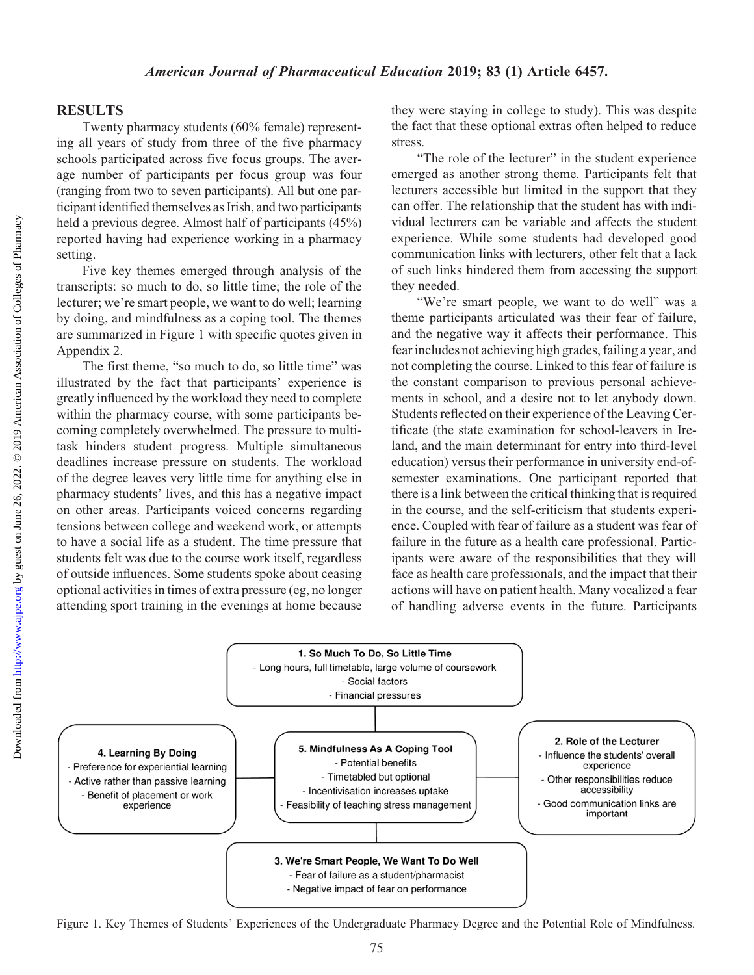### RESULTS

Twenty pharmacy students (60% female) representing all years of study from three of the five pharmacy schools participated across five focus groups. The average number of participants per focus group was four (ranging from two to seven participants). All but one participant identified themselves as Irish, and two participants held a previous degree. Almost half of participants (45%) reported having had experience working in a pharmacy setting.

Five key themes emerged through analysis of the transcripts: so much to do, so little time; the role of the lecturer; we're smart people, we want to do well; learning by doing, and mindfulness as a coping tool. The themes are summarized in Figure 1 with specific quotes given in Appendix 2.

The first theme, "so much to do, so little time" was illustrated by the fact that participants' experience is greatly influenced by the workload they need to complete within the pharmacy course, with some participants becoming completely overwhelmed. The pressure to multitask hinders student progress. Multiple simultaneous deadlines increase pressure on students. The workload of the degree leaves very little time for anything else in pharmacy students' lives, and this has a negative impact on other areas. Participants voiced concerns regarding tensions between college and weekend work, or attempts to have a social life as a student. The time pressure that students felt was due to the course work itself, regardless of outside influences. Some students spoke about ceasing optional activities in times of extra pressure (eg, no longer attending sport training in the evenings at home because

they were staying in college to study). This was despite the fact that these optional extras often helped to reduce stress.

"The role of the lecturer" in the student experience emerged as another strong theme. Participants felt that lecturers accessible but limited in the support that they can offer. The relationship that the student has with individual lecturers can be variable and affects the student experience. While some students had developed good communication links with lecturers, other felt that a lack of such links hindered them from accessing the support they needed.

"We're smart people, we want to do well" was a theme participants articulated was their fear of failure, and the negative way it affects their performance. This fear includes not achieving high grades, failing a year, and not completing the course. Linked to this fear of failure is the constant comparison to previous personal achievements in school, and a desire not to let anybody down. Students reflected on their experience of the Leaving Certificate (the state examination for school-leavers in Ireland, and the main determinant for entry into third-level education) versus their performance in university end-ofsemester examinations. One participant reported that there is a link between the critical thinking that is required in the course, and the self-criticism that students experience. Coupled with fear of failure as a student was fear of failure in the future as a health care professional. Participants were aware of the responsibilities that they will face as health care professionals, and the impact that their actions will have on patient health. Many vocalized a fear of handling adverse events in the future. Participants



Figure 1. Key Themes of Students' Experiences of the Undergraduate Pharmacy Degree and the Potential Role of Mindfulness.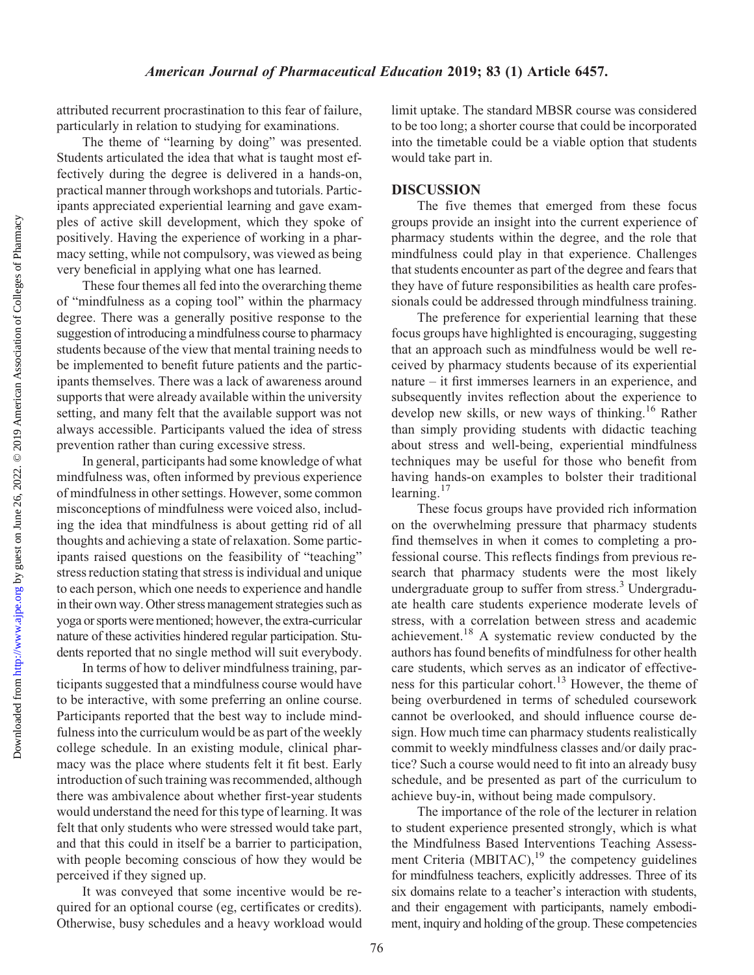attributed recurrent procrastination to this fear of failure, particularly in relation to studying for examinations.

The theme of "learning by doing" was presented. Students articulated the idea that what is taught most effectively during the degree is delivered in a hands-on, practical manner through workshops and tutorials. Participants appreciated experiential learning and gave examples of active skill development, which they spoke of positively. Having the experience of working in a pharmacy setting, while not compulsory, was viewed as being very beneficial in applying what one has learned.

These four themes all fed into the overarching theme of "mindfulness as a coping tool" within the pharmacy degree. There was a generally positive response to the suggestion of introducing a mindfulness course to pharmacy students because of the view that mental training needs to be implemented to benefit future patients and the participants themselves. There was a lack of awareness around supports that were already available within the university setting, and many felt that the available support was not always accessible. Participants valued the idea of stress prevention rather than curing excessive stress.

In general, participants had some knowledge of what mindfulness was, often informed by previous experience of mindfulness in other settings. However, some common misconceptions of mindfulness were voiced also, including the idea that mindfulness is about getting rid of all thoughts and achieving a state of relaxation. Some participants raised questions on the feasibility of "teaching" stress reduction stating that stress is individual and unique to each person, which one needs to experience and handle in their own way. Other stress management strategies such as yoga or sports were mentioned; however, the extra-curricular nature of these activities hindered regular participation. Students reported that no single method will suit everybody.

In terms of how to deliver mindfulness training, participants suggested that a mindfulness course would have to be interactive, with some preferring an online course. Participants reported that the best way to include mindfulness into the curriculum would be as part of the weekly college schedule. In an existing module, clinical pharmacy was the place where students felt it fit best. Early introduction of such training was recommended, although there was ambivalence about whether first-year students would understand the need for this type of learning. It was felt that only students who were stressed would take part, and that this could in itself be a barrier to participation, with people becoming conscious of how they would be perceived if they signed up.

It was conveyed that some incentive would be required for an optional course (eg, certificates or credits). Otherwise, busy schedules and a heavy workload would limit uptake. The standard MBSR course was considered to be too long; a shorter course that could be incorporated into the timetable could be a viable option that students would take part in.

#### DISCUSSION

The five themes that emerged from these focus groups provide an insight into the current experience of pharmacy students within the degree, and the role that mindfulness could play in that experience. Challenges that students encounter as part of the degree and fears that they have of future responsibilities as health care professionals could be addressed through mindfulness training.

The preference for experiential learning that these focus groups have highlighted is encouraging, suggesting that an approach such as mindfulness would be well received by pharmacy students because of its experiential nature – it first immerses learners in an experience, and subsequently invites reflection about the experience to develop new skills, or new ways of thinking.<sup>16</sup> Rather than simply providing students with didactic teaching about stress and well-being, experiential mindfulness techniques may be useful for those who benefit from having hands-on examples to bolster their traditional learning. $17$ 

These focus groups have provided rich information on the overwhelming pressure that pharmacy students find themselves in when it comes to completing a professional course. This reflects findings from previous research that pharmacy students were the most likely undergraduate group to suffer from stress.<sup>3</sup> Undergraduate health care students experience moderate levels of stress, with a correlation between stress and academic achievement.<sup>18</sup> A systematic review conducted by the authors has found benefits of mindfulness for other health care students, which serves as an indicator of effectiveness for this particular cohort.<sup>13</sup> However, the theme of being overburdened in terms of scheduled coursework cannot be overlooked, and should influence course design. How much time can pharmacy students realistically commit to weekly mindfulness classes and/or daily practice? Such a course would need to fit into an already busy schedule, and be presented as part of the curriculum to achieve buy-in, without being made compulsory.

The importance of the role of the lecturer in relation to student experience presented strongly, which is what the Mindfulness Based Interventions Teaching Assessment Criteria  $(MBITAC)$ ,<sup>19</sup> the competency guidelines for mindfulness teachers, explicitly addresses. Three of its six domains relate to a teacher's interaction with students, and their engagement with participants, namely embodiment, inquiry and holding of the group. These competencies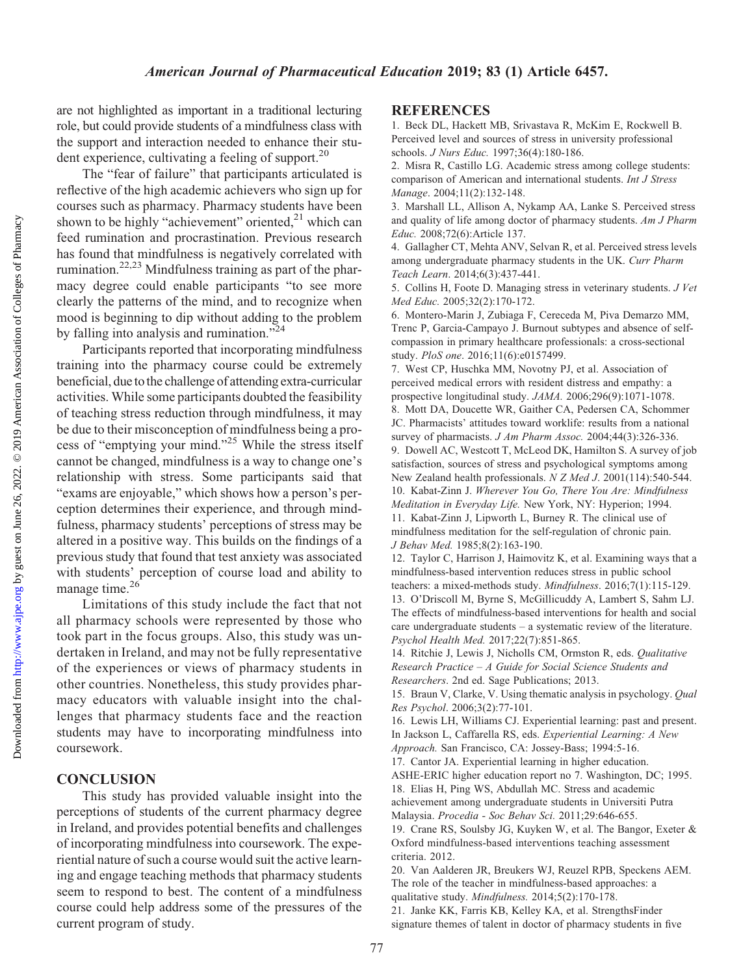are not highlighted as important in a traditional lecturing role, but could provide students of a mindfulness class with the support and interaction needed to enhance their student experience, cultivating a feeling of support.<sup>20</sup>

The "fear of failure" that participants articulated is reflective of the high academic achievers who sign up for courses such as pharmacy. Pharmacy students have been shown to be highly "achievement" oriented, $2<sup>1</sup>$  which can feed rumination and procrastination. Previous research has found that mindfulness is negatively correlated with rumination.22,23 Mindfulness training as part of the pharmacy degree could enable participants "to see more clearly the patterns of the mind, and to recognize when mood is beginning to dip without adding to the problem by falling into analysis and rumination." $24$ 

Participants reported that incorporating mindfulness training into the pharmacy course could be extremely beneficial, due to the challenge of attending extra-curricular activities. While some participants doubted the feasibility of teaching stress reduction through mindfulness, it may be due to their misconception of mindfulness being a process of "emptying your mind."25 While the stress itself cannot be changed, mindfulness is a way to change one's relationship with stress. Some participants said that "exams are enjoyable," which shows how a person's perception determines their experience, and through mindfulness, pharmacy students' perceptions of stress may be altered in a positive way. This builds on the findings of a previous study that found that test anxiety was associated with students' perception of course load and ability to manage time.<sup>26</sup>

Limitations of this study include the fact that not all pharmacy schools were represented by those who took part in the focus groups. Also, this study was undertaken in Ireland, and may not be fully representative of the experiences or views of pharmacy students in other countries. Nonetheless, this study provides pharmacy educators with valuable insight into the challenges that pharmacy students face and the reaction students may have to incorporating mindfulness into coursework.

### **CONCLUSION**

This study has provided valuable insight into the perceptions of students of the current pharmacy degree in Ireland, and provides potential benefits and challenges of incorporating mindfulness into coursework. The experiential nature of such a course would suit the active learning and engage teaching methods that pharmacy students seem to respond to best. The content of a mindfulness course could help address some of the pressures of the current program of study.

#### **REFERENCES**

1. Beck DL, Hackett MB, Srivastava R, McKim E, Rockwell B. Perceived level and sources of stress in university professional schools. J Nurs Educ. 1997;36(4):180-186.

2. Misra R, Castillo LG. Academic stress among college students: comparison of American and international students. Int J Stress Manage. 2004;11(2):132-148.

3. Marshall LL, Allison A, Nykamp AA, Lanke S. Perceived stress and quality of life among doctor of pharmacy students. Am J Pharm Educ. 2008;72(6):Article 137.

4. Gallagher CT, Mehta ANV, Selvan R, et al. Perceived stress levels among undergraduate pharmacy students in the UK. Curr Pharm Teach Learn. 2014;6(3):437-441.

5. Collins H, Foote D. Managing stress in veterinary students. J Vet Med Educ. 2005;32(2):170-172.

6. Montero-Marin J, Zubiaga F, Cereceda M, Piva Demarzo MM, Trenc P, Garcia-Campayo J. Burnout subtypes and absence of selfcompassion in primary healthcare professionals: a cross-sectional study. PloS one. 2016;11(6):e0157499.

7. West CP, Huschka MM, Novotny PJ, et al. Association of perceived medical errors with resident distress and empathy: a prospective longitudinal study. JAMA. 2006;296(9):1071-1078.

8. Mott DA, Doucette WR, Gaither CA, Pedersen CA, Schommer JC. Pharmacists' attitudes toward worklife: results from a national survey of pharmacists. *J Am Pharm Assoc.* 2004;44(3):326-336.

9. Dowell AC, Westcott T, McLeod DK, Hamilton S. A survey of job satisfaction, sources of stress and psychological symptoms among New Zealand health professionals. N Z Med J. 2001(114):540-544. 10. Kabat-Zinn J. Wherever You Go, There You Are: Mindfulness Meditation in Everyday Life. New York, NY: Hyperion; 1994. 11. Kabat-Zinn J, Lipworth L, Burney R. The clinical use of

mindfulness meditation for the self-regulation of chronic pain. J Behav Med. 1985;8(2):163-190.

12. Taylor C, Harrison J, Haimovitz K, et al. Examining ways that a mindfulness-based intervention reduces stress in public school teachers: a mixed-methods study. Mindfulness. 2016;7(1):115-129. 13. O'Driscoll M, Byrne S, McGillicuddy A, Lambert S, Sahm LJ. The effects of mindfulness-based interventions for health and social care undergraduate students – a systematic review of the literature.

Psychol Health Med. 2017;22(7):851-865. 14. Ritchie J, Lewis J, Nicholls CM, Ormston R, eds. Qualitative Research Practice – A Guide for Social Science Students and Researchers. 2nd ed. Sage Publications; 2013.

15. Braun V, Clarke, V. Using thematic analysis in psychology. *Qual* Res Psychol. 2006;3(2):77-101.

16. Lewis LH, Williams CJ. Experiential learning: past and present. In Jackson L, Caffarella RS, eds. Experiential Learning: A New Approach. San Francisco, CA: Jossey-Bass; 1994:5-16.

17. Cantor JA. Experiential learning in higher education.

ASHE-ERIC higher education report no 7. Washington, DC; 1995.

18. Elias H, Ping WS, Abdullah MC. Stress and academic achievement among undergraduate students in Universiti Putra Malaysia. Procedia - Soc Behav Sci. 2011;29:646-655.

19. Crane RS, Soulsby JG, Kuyken W, et al. The Bangor, Exeter & Oxford mindfulness-based interventions teaching assessment criteria. 2012.

20. Van Aalderen JR, Breukers WJ, Reuzel RPB, Speckens AEM. The role of the teacher in mindfulness-based approaches: a qualitative study. Mindfulness. 2014;5(2):170-178. 21. Janke KK, Farris KB, Kelley KA, et al. StrengthsFinder signature themes of talent in doctor of pharmacy students in five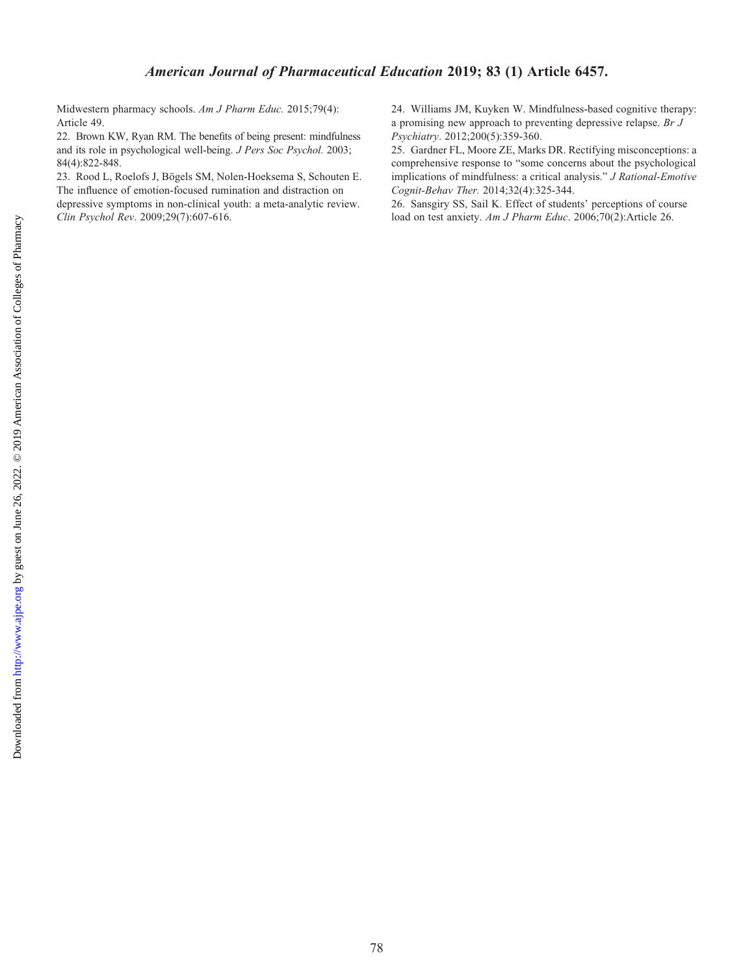Midwestern pharmacy schools. Am J Pharm Educ. 2015;79(4): Article 49.

22. Brown KW, Ryan RM. The benefits of being present: mindfulness and its role in psychological well-being. J Pers Soc Psychol. 2003; 84(4):822-848.

23. Rood L, Roelofs J, Bögels SM, Nolen-Hoeksema S, Schouten E. The influence of emotion-focused rumination and distraction on depressive symptoms in non-clinical youth: a meta-analytic review. Clin Psychol Rev. 2009;29(7):607-616.

24. Williams JM, Kuyken W. Mindfulness-based cognitive therapy: a promising new approach to preventing depressive relapse. Br J Psychiatry. 2012;200(5):359-360.

25. Gardner FL, Moore ZE, Marks DR. Rectifying misconceptions: a comprehensive response to "some concerns about the psychological implications of mindfulness: a critical analysis." J Rational-Emotive Cognit-Behav Ther. 2014;32(4):325-344.

26. Sansgiry SS, Sail K. Effect of students' perceptions of course load on test anxiety. Am J Pharm Educ. 2006;70(2):Article 26.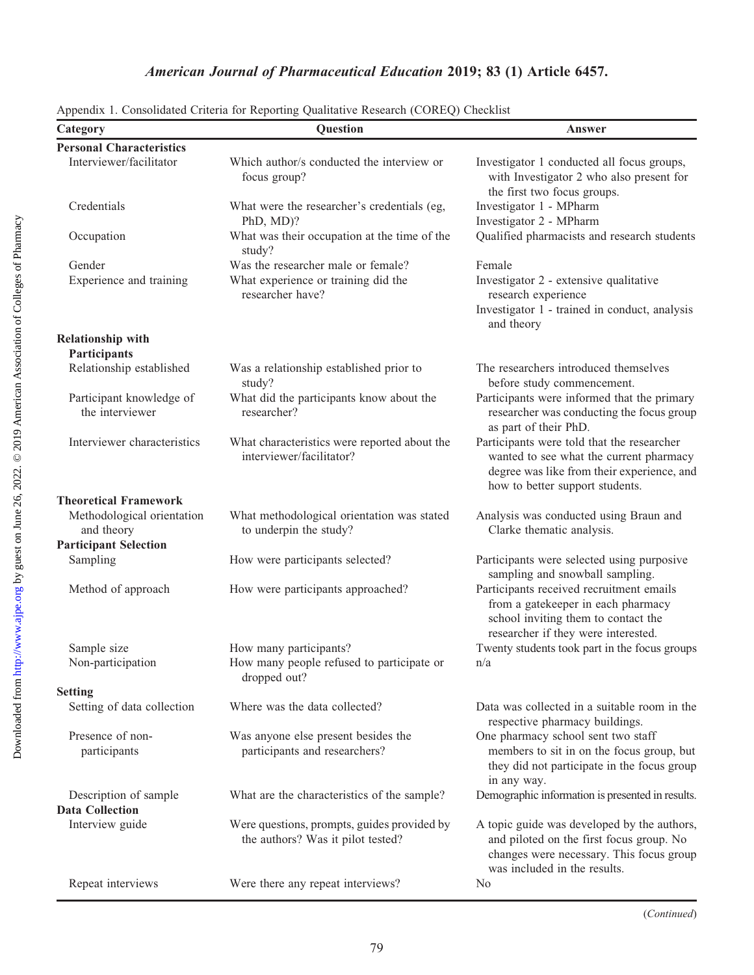| Category                                        | Question                                                                         | Answer                                                                                                                                                                 |
|-------------------------------------------------|----------------------------------------------------------------------------------|------------------------------------------------------------------------------------------------------------------------------------------------------------------------|
| <b>Personal Characteristics</b>                 |                                                                                  |                                                                                                                                                                        |
| Interviewer/facilitator                         | Which author/s conducted the interview or<br>focus group?                        | Investigator 1 conducted all focus groups,<br>with Investigator 2 who also present for<br>the first two focus groups.                                                  |
| Credentials                                     | What were the researcher's credentials (eg,<br>PhD, MD)?                         | Investigator 1 - MPharm<br>Investigator 2 - MPharm                                                                                                                     |
| Occupation                                      | What was their occupation at the time of the<br>study?                           | Qualified pharmacists and research students                                                                                                                            |
| Gender                                          | Was the researcher male or female?                                               | Female                                                                                                                                                                 |
| Experience and training                         | What experience or training did the<br>researcher have?                          | Investigator 2 - extensive qualitative<br>research experience<br>Investigator 1 - trained in conduct, analysis<br>and theory                                           |
| <b>Relationship with</b><br>Participants        |                                                                                  |                                                                                                                                                                        |
| Relationship established                        | Was a relationship established prior to<br>study?                                | The researchers introduced themselves<br>before study commencement.                                                                                                    |
| Participant knowledge of<br>the interviewer     | What did the participants know about the<br>researcher?                          | Participants were informed that the primary<br>researcher was conducting the focus group<br>as part of their PhD.                                                      |
| Interviewer characteristics                     | What characteristics were reported about the<br>interviewer/facilitator?         | Participants were told that the researcher<br>wanted to see what the current pharmacy<br>degree was like from their experience, and<br>how to better support students. |
| <b>Theoretical Framework</b>                    |                                                                                  |                                                                                                                                                                        |
| Methodological orientation<br>and theory        | What methodological orientation was stated<br>to underpin the study?             | Analysis was conducted using Braun and<br>Clarke thematic analysis.                                                                                                    |
| <b>Participant Selection</b>                    |                                                                                  |                                                                                                                                                                        |
| Sampling                                        | How were participants selected?                                                  | Participants were selected using purposive<br>sampling and snowball sampling.                                                                                          |
| Method of approach                              | How were participants approached?                                                | Participants received recruitment emails<br>from a gatekeeper in each pharmacy<br>school inviting them to contact the<br>researcher if they were interested.           |
| Sample size                                     | How many participants?                                                           | Twenty students took part in the focus groups                                                                                                                          |
| Non-participation                               | How many people refused to participate or<br>dropped out?                        | n/a                                                                                                                                                                    |
| <b>Setting</b>                                  |                                                                                  |                                                                                                                                                                        |
| Setting of data collection                      | Where was the data collected?                                                    | Data was collected in a suitable room in the<br>respective pharmacy buildings.                                                                                         |
| Presence of non-<br>participants                | Was anyone else present besides the<br>participants and researchers?             | One pharmacy school sent two staff<br>members to sit in on the focus group, but<br>they did not participate in the focus group<br>in any way.                          |
| Description of sample<br><b>Data Collection</b> | What are the characteristics of the sample?                                      | Demographic information is presented in results.                                                                                                                       |
| Interview guide                                 | Were questions, prompts, guides provided by<br>the authors? Was it pilot tested? | A topic guide was developed by the authors,<br>and piloted on the first focus group. No<br>changes were necessary. This focus group<br>was included in the results.    |
| Repeat interviews                               | Were there any repeat interviews?                                                | N <sub>0</sub>                                                                                                                                                         |

Appendix 1. Consolidated Criteria for Reporting Qualitative Research (COREQ) Checklist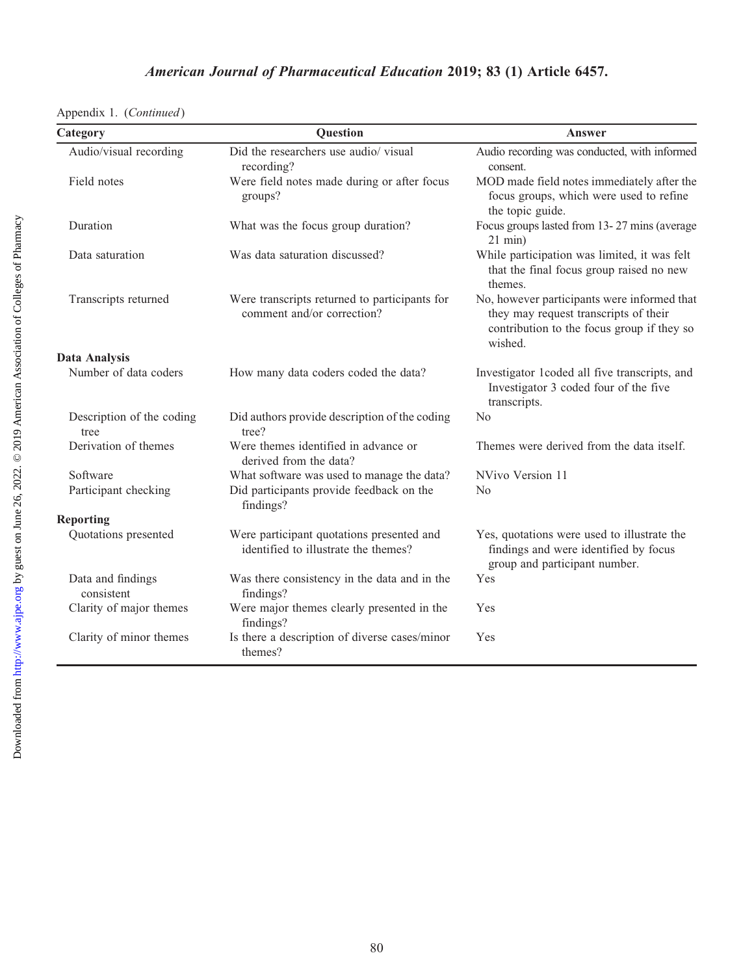|  |  | Appendix 1. (Continued) |
|--|--|-------------------------|
|--|--|-------------------------|

| Category                          | <b>Question</b>                                                                   | Answer                                                                                                                                        |
|-----------------------------------|-----------------------------------------------------------------------------------|-----------------------------------------------------------------------------------------------------------------------------------------------|
| Audio/visual recording            | Did the researchers use audio/ visual<br>recording?                               | Audio recording was conducted, with informed<br>consent.                                                                                      |
| Field notes                       | Were field notes made during or after focus<br>groups?                            | MOD made field notes immediately after the<br>focus groups, which were used to refine<br>the topic guide.                                     |
| Duration                          | What was the focus group duration?                                                | Focus groups lasted from 13-27 mins (average<br>$21$ min)                                                                                     |
| Data saturation                   | Was data saturation discussed?                                                    | While participation was limited, it was felt<br>that the final focus group raised no new<br>themes.                                           |
| Transcripts returned              | Were transcripts returned to participants for<br>comment and/or correction?       | No, however participants were informed that<br>they may request transcripts of their<br>contribution to the focus group if they so<br>wished. |
| <b>Data Analysis</b>              |                                                                                   |                                                                                                                                               |
| Number of data coders             | How many data coders coded the data?                                              | Investigator 1coded all five transcripts, and<br>Investigator 3 coded four of the five<br>transcripts.                                        |
| Description of the coding<br>tree | Did authors provide description of the coding<br>tree?                            | N <sub>0</sub>                                                                                                                                |
| Derivation of themes              | Were themes identified in advance or<br>derived from the data?                    | Themes were derived from the data itself.                                                                                                     |
| Software                          | What software was used to manage the data?                                        | NVivo Version 11                                                                                                                              |
| Participant checking              | Did participants provide feedback on the<br>findings?                             | N <sub>0</sub>                                                                                                                                |
| <b>Reporting</b>                  |                                                                                   |                                                                                                                                               |
| Quotations presented              | Were participant quotations presented and<br>identified to illustrate the themes? | Yes, quotations were used to illustrate the<br>findings and were identified by focus<br>group and participant number.                         |
| Data and findings<br>consistent   | Was there consistency in the data and in the<br>findings?                         | Yes                                                                                                                                           |
| Clarity of major themes           | Were major themes clearly presented in the<br>findings?                           | Yes                                                                                                                                           |
| Clarity of minor themes           | Is there a description of diverse cases/minor<br>themes?                          | Yes                                                                                                                                           |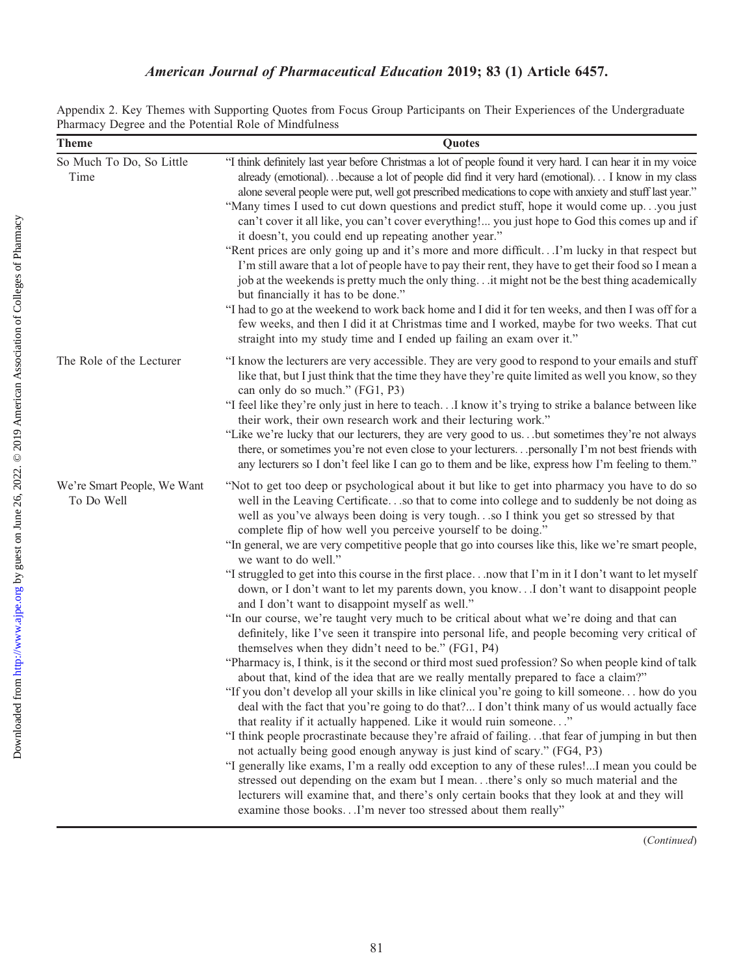## American Journal of Pharmaceutical Education 2019; 83 (1) Article 6457.

| Appendix 2. Key Themes with Supporting Quotes from Focus Group Participants on Their Experiences of the Undergraduate |  |  |  |  |  |  |  |  |
|-----------------------------------------------------------------------------------------------------------------------|--|--|--|--|--|--|--|--|
| Pharmacy Degree and the Potential Role of Mindfulness                                                                 |  |  |  |  |  |  |  |  |

| <b>Theme</b>                              | Quotes                                                                                                                                                                                                                                                                                                                                                                                                                                                                                                                                                                                                                                                                                                                                                                                                                                                                                                                                                                                                                                                                                                                                                                                                                                                                                                                                                                                                                                                                                                                                                                                                                                                                                                                                                                                                                                                                                                                                                                                                           |
|-------------------------------------------|------------------------------------------------------------------------------------------------------------------------------------------------------------------------------------------------------------------------------------------------------------------------------------------------------------------------------------------------------------------------------------------------------------------------------------------------------------------------------------------------------------------------------------------------------------------------------------------------------------------------------------------------------------------------------------------------------------------------------------------------------------------------------------------------------------------------------------------------------------------------------------------------------------------------------------------------------------------------------------------------------------------------------------------------------------------------------------------------------------------------------------------------------------------------------------------------------------------------------------------------------------------------------------------------------------------------------------------------------------------------------------------------------------------------------------------------------------------------------------------------------------------------------------------------------------------------------------------------------------------------------------------------------------------------------------------------------------------------------------------------------------------------------------------------------------------------------------------------------------------------------------------------------------------------------------------------------------------------------------------------------------------|
| So Much To Do, So Little<br>Time          | "I think definitely last year before Christmas a lot of people found it very hard. I can hear it in my voice<br>already (emotional)because a lot of people did find it very hard (emotional) I know in my class<br>alone several people were put, well got prescribed medications to cope with anxiety and stuff last year."<br>"Many times I used to cut down questions and predict stuff, hope it would come upyou just<br>can't cover it all like, you can't cover everything! you just hope to God this comes up and if<br>it doesn't, you could end up repeating another year."<br>"Rent prices are only going up and it's more and more difficultI'm lucky in that respect but<br>I'm still aware that a lot of people have to pay their rent, they have to get their food so I mean a<br>job at the weekends is pretty much the only thing it might not be the best thing academically<br>but financially it has to be done."<br>"I had to go at the weekend to work back home and I did it for ten weeks, and then I was off for a<br>few weeks, and then I did it at Christmas time and I worked, maybe for two weeks. That cut<br>straight into my study time and I ended up failing an exam over it."                                                                                                                                                                                                                                                                                                                                                                                                                                                                                                                                                                                                                                                                                                                                                                                                 |
| The Role of the Lecturer                  | "I know the lecturers are very accessible. They are very good to respond to your emails and stuff<br>like that, but I just think that the time they have they're quite limited as well you know, so they<br>can only do so much." (FG1, P3)<br>"I feel like they're only just in here to teachI know it's trying to strike a balance between like<br>their work, their own research work and their lecturing work."<br>"Like we're lucky that our lecturers, they are very good to usbut sometimes they're not always<br>there, or sometimes you're not even close to your lecturers personally I'm not best friends with<br>any lecturers so I don't feel like I can go to them and be like, express how I'm feeling to them."                                                                                                                                                                                                                                                                                                                                                                                                                                                                                                                                                                                                                                                                                                                                                                                                                                                                                                                                                                                                                                                                                                                                                                                                                                                                                  |
| We're Smart People, We Want<br>To Do Well | "Not to get too deep or psychological about it but like to get into pharmacy you have to do so<br>well in the Leaving Certificateso that to come into college and to suddenly be not doing as<br>well as you've always been doing is very toughso I think you get so stressed by that<br>complete flip of how well you perceive yourself to be doing."<br>"In general, we are very competitive people that go into courses like this, like we're smart people,<br>we want to do well."<br>"I struggled to get into this course in the first placenow that I'm in it I don't want to let myself<br>down, or I don't want to let my parents down, you know. . I don't want to disappoint people<br>and I don't want to disappoint myself as well."<br>"In our course, we're taught very much to be critical about what we're doing and that can<br>definitely, like I've seen it transpire into personal life, and people becoming very critical of<br>themselves when they didn't need to be." (FG1, P4)<br>"Pharmacy is, I think, is it the second or third most sued profession? So when people kind of talk<br>about that, kind of the idea that are we really mentally prepared to face a claim?"<br>"If you don't develop all your skills in like clinical you're going to kill someone how do you<br>deal with the fact that you're going to do that? I don't think many of us would actually face<br>that reality if it actually happened. Like it would ruin someone"<br>"I think people procrastinate because they're afraid of failingthat fear of jumping in but then<br>not actually being good enough anyway is just kind of scary." (FG4, P3)<br>"I generally like exams, I'm a really odd exception to any of these rules!I mean you could be<br>stressed out depending on the exam but I meanthere's only so much material and the<br>lecturers will examine that, and there's only certain books that they look at and they will<br>examine those booksI'm never too stressed about them really" |

(Continued)